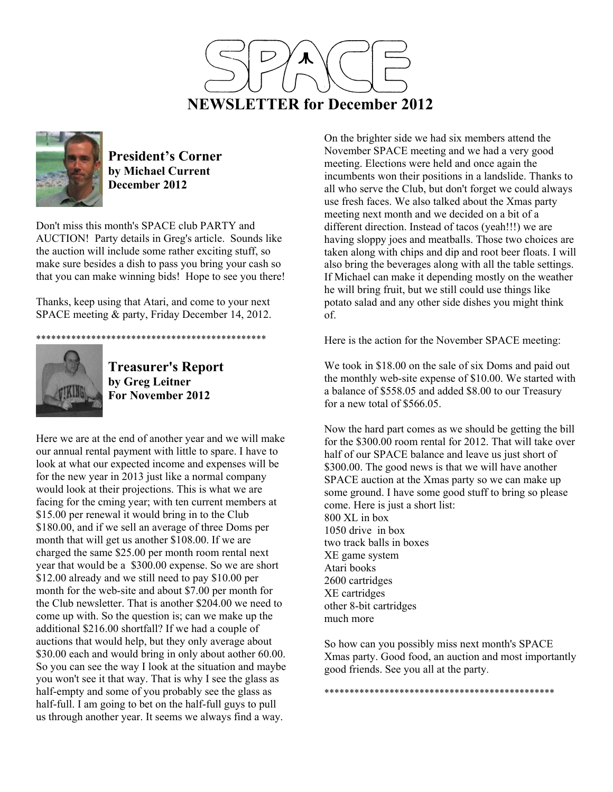



**President's Corner by Michael Current December 2012**

Don't miss this month's SPACE club PARTY and AUCTION! Party details in Greg's article. Sounds like the auction will include some rather exciting stuff, so make sure besides a dish to pass you bring your cash so that you can make winning bids! Hope to see you there!

Thanks, keep using that Atari, and come to your next SPACE meeting & party, Friday December 14, 2012.

\*\*\*\*\*\*\*\*\*\*\*\*\*\*\*\*\*\*\*\*\*\*\*\*\*\*\*\*\*\*\*\*\*\*\*\*\*\*\*\*\*\*\*\*\*\*



**Treasurer's Report by Greg Leitner For November 2012** 

Here we are at the end of another year and we will make our annual rental payment with little to spare. I have to look at what our expected income and expenses will be for the new year in 2013 just like a normal company would look at their projections. This is what we are facing for the cming year; with ten current members at \$15.00 per renewal it would bring in to the Club \$180.00, and if we sell an average of three Doms per month that will get us another \$108.00. If we are charged the same \$25.00 per month room rental next year that would be a \$300.00 expense. So we are short \$12.00 already and we still need to pay \$10.00 per month for the web-site and about \$7.00 per month for the Club newsletter. That is another \$204.00 we need to come up with. So the question is; can we make up the additional \$216.00 shortfall? If we had a couple of auctions that would help, but they only average about \$30.00 each and would bring in only about aother 60.00. So you can see the way I look at the situation and maybe you won't see it that way. That is why I see the glass as half-empty and some of you probably see the glass as half-full. I am going to bet on the half-full guys to pull us through another year. It seems we always find a way.

On the brighter side we had six members attend the November SPACE meeting and we had a very good meeting. Elections were held and once again the incumbents won their positions in a landslide. Thanks to all who serve the Club, but don't forget we could always use fresh faces. We also talked about the Xmas party meeting next month and we decided on a bit of a different direction. Instead of tacos (yeah!!!) we are having sloppy joes and meatballs. Those two choices are taken along with chips and dip and root beer floats. I will also bring the beverages along with all the table settings. If Michael can make it depending mostly on the weather he will bring fruit, but we still could use things like potato salad and any other side dishes you might think of.

Here is the action for the November SPACE meeting:

We took in \$18.00 on the sale of six Doms and paid out the monthly web-site expense of \$10.00. We started with a balance of \$558.05 and added \$8.00 to our Treasury for a new total of \$566.05.

Now the hard part comes as we should be getting the bill for the \$300.00 room rental for 2012. That will take over half of our SPACE balance and leave us just short of \$300.00. The good news is that we will have another SPACE auction at the Xmas party so we can make up some ground. I have some good stuff to bring so please come. Here is just a short list: 800 XL in box 1050 drive in box two track balls in boxes XE game system Atari books 2600 cartridges XE cartridges other 8-bit cartridges much more

So how can you possibly miss next month's SPACE Xmas party. Good food, an auction and most importantly good friends. See you all at the party.

\*\*\*\*\*\*\*\*\*\*\*\*\*\*\*\*\*\*\*\*\*\*\*\*\*\*\*\*\*\*\*\*\*\*\*\*\*\*\*\*\*\*\*\*\*\*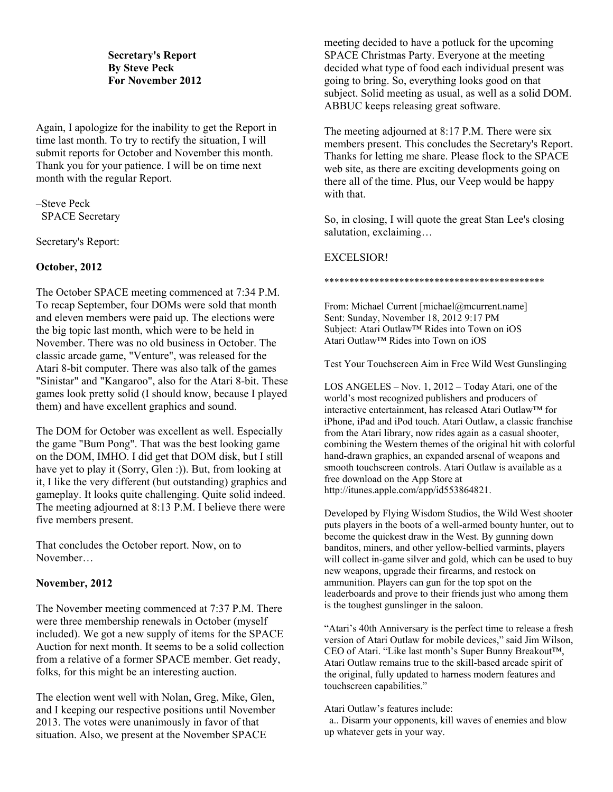# **Secretary's Report By Steve Peck For November 2012**

Again, I apologize for the inability to get the Report in time last month. To try to rectify the situation, I will submit reports for October and November this month. Thank you for your patience. I will be on time next month with the regular Report.

–Steve Peck SPACE Secretary

Secretary's Report:

# **October, 2012**

The October SPACE meeting commenced at 7:34 P.M. To recap September, four DOMs were sold that month and eleven members were paid up. The elections were the big topic last month, which were to be held in November. There was no old business in October. The classic arcade game, "Venture", was released for the Atari 8-bit computer. There was also talk of the games "Sinistar" and "Kangaroo", also for the Atari 8-bit. These games look pretty solid (I should know, because I played them) and have excellent graphics and sound.

The DOM for October was excellent as well. Especially the game "Bum Pong". That was the best looking game on the DOM, IMHO. I did get that DOM disk, but I still have yet to play it (Sorry, Glen :)). But, from looking at it, I like the very different (but outstanding) graphics and gameplay. It looks quite challenging. Quite solid indeed. The meeting adjourned at 8:13 P.M. I believe there were five members present.

That concludes the October report. Now, on to November…

## **November, 2012**

The November meeting commenced at 7:37 P.M. There were three membership renewals in October (myself included). We got a new supply of items for the SPACE Auction for next month. It seems to be a solid collection from a relative of a former SPACE member. Get ready, folks, for this might be an interesting auction.

The election went well with Nolan, Greg, Mike, Glen, and I keeping our respective positions until November 2013. The votes were unanimously in favor of that situation. Also, we present at the November SPACE

meeting decided to have a potluck for the upcoming SPACE Christmas Party. Everyone at the meeting decided what type of food each individual present was going to bring. So, everything looks good on that subject. Solid meeting as usual, as well as a solid DOM. ABBUC keeps releasing great software.

The meeting adjourned at 8:17 P.M. There were six members present. This concludes the Secretary's Report. Thanks for letting me share. Please flock to the SPACE web site, as there are exciting developments going on there all of the time. Plus, our Veep would be happy with that.

So, in closing, I will quote the great Stan Lee's closing salutation, exclaiming…

# EXCELSIOR!

\*\*\*\*\*\*\*\*\*\*\*\*\*\*\*\*\*\*\*\*\*\*\*\*\*\*\*\*\*\*\*\*\*\*\*\*\*\*\*\*\*\*\*\*

From: Michael Current [michael@mcurrent.name] Sent: Sunday, November 18, 2012 9:17 PM Subject: Atari Outlaw™ Rides into Town on iOS Atari Outlaw™ Rides into Town on iOS

Test Your Touchscreen Aim in Free Wild West Gunslinging

LOS ANGELES – Nov. 1, 2012 – Today Atari, one of the world's most recognized publishers and producers of interactive entertainment, has released Atari Outlaw™ for iPhone, iPad and iPod touch. Atari Outlaw, a classic franchise from the Atari library, now rides again as a casual shooter, combining the Western themes of the original hit with colorful hand-drawn graphics, an expanded arsenal of weapons and smooth touchscreen controls. Atari Outlaw is available as a free download on the App Store at http://itunes.apple.com/app/id553864821.

Developed by Flying Wisdom Studios, the Wild West shooter puts players in the boots of a well-armed bounty hunter, out to become the quickest draw in the West. By gunning down banditos, miners, and other yellow-bellied varmints, players will collect in-game silver and gold, which can be used to buy new weapons, upgrade their firearms, and restock on ammunition. Players can gun for the top spot on the leaderboards and prove to their friends just who among them is the toughest gunslinger in the saloon.

"Atari's 40th Anniversary is the perfect time to release a fresh version of Atari Outlaw for mobile devices," said Jim Wilson, CEO of Atari. "Like last month's Super Bunny Breakout™, Atari Outlaw remains true to the skill-based arcade spirit of the original, fully updated to harness modern features and touchscreen capabilities."

Atari Outlaw's features include:

 a.. Disarm your opponents, kill waves of enemies and blow up whatever gets in your way.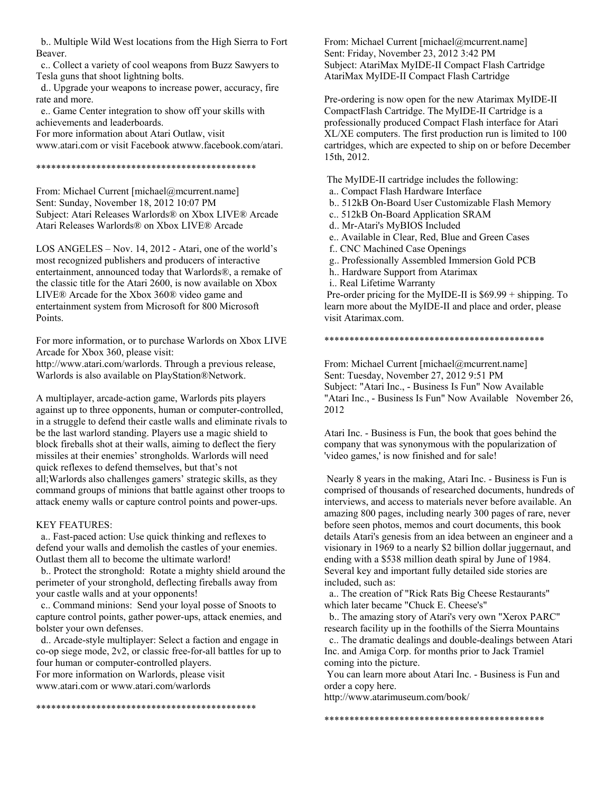b.. Multiple Wild West locations from the High Sierra to Fort Beaver.

 c.. Collect a variety of cool weapons from Buzz Sawyers to Tesla guns that shoot lightning bolts.

 d.. Upgrade your weapons to increase power, accuracy, fire rate and more.

 e.. Game Center integration to show off your skills with achievements and leaderboards.

For more information about Atari Outlaw, visit www.atari.com or visit Facebook atwww.facebook.com/atari.

#### \*\*\*\*\*\*\*\*\*\*\*\*\*\*\*\*\*\*\*\*\*\*\*\*\*\*\*\*\*\*\*\*\*\*\*\*\*\*\*\*\*\*\*\*

From: Michael Current [michael@mcurrent.name] Sent: Sunday, November 18, 2012 10:07 PM Subject: Atari Releases Warlords® on Xbox LIVE® Arcade Atari Releases Warlords® on Xbox LIVE® Arcade

LOS ANGELES – Nov. 14, 2012 - Atari, one of the world's most recognized publishers and producers of interactive entertainment, announced today that Warlords®, a remake of the classic title for the Atari 2600, is now available on Xbox LIVE® Arcade for the Xbox 360® video game and entertainment system from Microsoft for 800 Microsoft Points.

For more information, or to purchase Warlords on Xbox LIVE Arcade for Xbox 360, please visit:

http://www.atari.com/warlords. Through a previous release, Warlords is also available on PlayStation®Network.

A multiplayer, arcade-action game, Warlords pits players against up to three opponents, human or computer-controlled, in a struggle to defend their castle walls and eliminate rivals to be the last warlord standing. Players use a magic shield to block fireballs shot at their walls, aiming to deflect the fiery missiles at their enemies' strongholds. Warlords will need quick reflexes to defend themselves, but that's not all;Warlords also challenges gamers' strategic skills, as they command groups of minions that battle against other troops to attack enemy walls or capture control points and power-ups.

#### KEY FEATURES:

 a.. Fast-paced action: Use quick thinking and reflexes to defend your walls and demolish the castles of your enemies. Outlast them all to become the ultimate warlord!

 b.. Protect the stronghold: Rotate a mighty shield around the perimeter of your stronghold, deflecting fireballs away from your castle walls and at your opponents!

 c.. Command minions: Send your loyal posse of Snoots to capture control points, gather power-ups, attack enemies, and bolster your own defenses.

 d.. Arcade-style multiplayer: Select a faction and engage in co-op siege mode, 2v2, or classic free-for-all battles for up to four human or computer-controlled players.

\*\*\*\*\*\*\*\*\*\*\*\*\*\*\*\*\*\*\*\*\*\*\*\*\*\*\*\*\*\*\*\*\*\*\*\*\*\*\*\*\*\*\*\*

For more information on Warlords, please visit www.atari.com or www.atari.com/warlords

From: Michael Current [michael@mcurrent.name] Sent: Friday, November 23, 2012 3:42 PM Subject: AtariMax MyIDE-II Compact Flash Cartridge AtariMax MyIDE-II Compact Flash Cartridge

Pre-ordering is now open for the new Atarimax MyIDE-II CompactFlash Cartridge. The MyIDE-II Cartridge is a professionally produced Compact Flash interface for Atari XL/XE computers. The first production run is limited to 100 cartridges, which are expected to ship on or before December 15th, 2012.

The MyIDE-II cartridge includes the following:

a.. Compact Flash Hardware Interface

b.. 512kB On-Board User Customizable Flash Memory

c.. 512kB On-Board Application SRAM

- d.. Mr-Atari's MyBIOS Included
- e.. Available in Clear, Red, Blue and Green Cases
- f.. CNC Machined Case Openings
- g.. Professionally Assembled Immersion Gold PCB
- h.. Hardware Support from Atarimax

i.. Real Lifetime Warranty

 Pre-order pricing for the MyIDE-II is \$69.99 + shipping. To learn more about the MyIDE-II and place and order, please visit Atarimax.com.

\*\*\*\*\*\*\*\*\*\*\*\*\*\*\*\*\*\*\*\*\*\*\*\*\*\*\*\*\*\*\*\*\*\*\*\*\*\*\*\*\*\*\*\*

From: Michael Current [michael@mcurrent.name] Sent: Tuesday, November 27, 2012 9:51 PM Subject: "Atari Inc., - Business Is Fun" Now Available "Atari Inc., - Business Is Fun" Now Available November 26, 2012

Atari Inc. - Business is Fun, the book that goes behind the company that was synonymous with the popularization of 'video games,' is now finished and for sale!

 Nearly 8 years in the making, Atari Inc. - Business is Fun is comprised of thousands of researched documents, hundreds of interviews, and access to materials never before available. An amazing 800 pages, including nearly 300 pages of rare, never before seen photos, memos and court documents, this book details Atari's genesis from an idea between an engineer and a visionary in 1969 to a nearly \$2 billion dollar juggernaut, and ending with a \$538 million death spiral by June of 1984. Several key and important fully detailed side stories are included, such as:

 a.. The creation of "Rick Rats Big Cheese Restaurants" which later became "Chuck E. Cheese's"

 b.. The amazing story of Atari's very own "Xerox PARC" research facility up in the foothills of the Sierra Mountains

 c.. The dramatic dealings and double-dealings between Atari Inc. and Amiga Corp. for months prior to Jack Tramiel coming into the picture.

 You can learn more about Atari Inc. - Business is Fun and order a copy here.

http://www.atarimuseum.com/book/

\*\*\*\*\*\*\*\*\*\*\*\*\*\*\*\*\*\*\*\*\*\*\*\*\*\*\*\*\*\*\*\*\*\*\*\*\*\*\*\*\*\*\*\*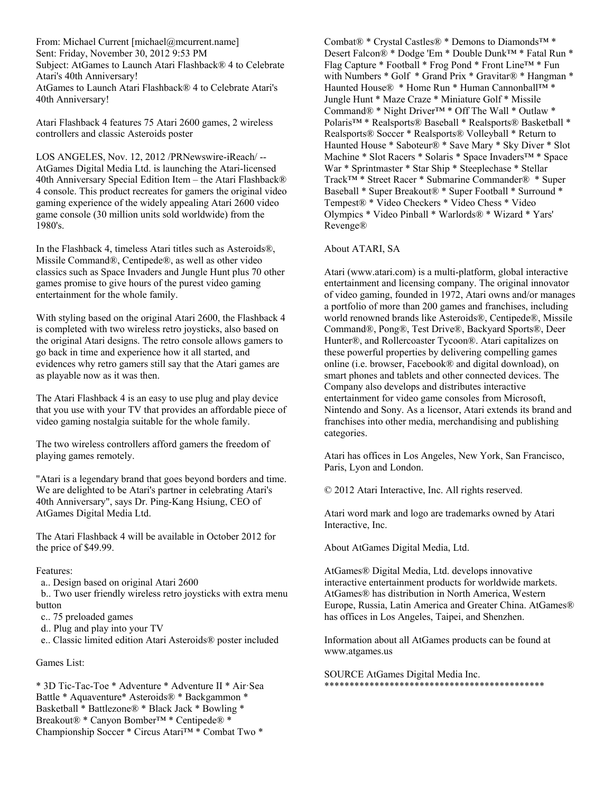From: Michael Current [michael@mcurrent.name] Sent: Friday, November 30, 2012 9:53 PM Subject: AtGames to Launch Atari Flashback® 4 to Celebrate Atari's 40th Anniversary! AtGames to Launch Atari Flashback® 4 to Celebrate Atari's 40th Anniversary!

Atari Flashback 4 features 75 Atari 2600 games, 2 wireless controllers and classic Asteroids poster

LOS ANGELES, Nov. 12, 2012 /PRNewswire-iReach/ -- AtGames Digital Media Ltd. is launching the Atari-licensed 40th Anniversary Special Edition Item – the Atari Flashback® 4 console. This product recreates for gamers the original video gaming experience of the widely appealing Atari 2600 video game console (30 million units sold worldwide) from the 1980's.

In the Flashback 4, timeless Atari titles such as Asteroids®, Missile Command®, Centipede®, as well as other video classics such as Space Invaders and Jungle Hunt plus 70 other games promise to give hours of the purest video gaming entertainment for the whole family.

With styling based on the original Atari 2600, the Flashback 4 is completed with two wireless retro joysticks, also based on the original Atari designs. The retro console allows gamers to go back in time and experience how it all started, and evidences why retro gamers still say that the Atari games are as playable now as it was then.

The Atari Flashback 4 is an easy to use plug and play device that you use with your TV that provides an affordable piece of video gaming nostalgia suitable for the whole family.

The two wireless controllers afford gamers the freedom of playing games remotely.

"Atari is a legendary brand that goes beyond borders and time. We are delighted to be Atari's partner in celebrating Atari's 40th Anniversary", says Dr. Ping-Kang Hsiung, CEO of AtGames Digital Media Ltd.

The Atari Flashback 4 will be available in October 2012 for the price of \$49.99.

## Features:

a.. Design based on original Atari 2600

 b.. Two user friendly wireless retro joysticks with extra menu button

- c.. 75 preloaded games
- d.. Plug and play into your TV

e.. Classic limited edition Atari Asteroids® poster included

## Games List:

\* 3D Tic-Tac-Toe \* Adventure \* Adventure II \* Air·Sea Battle \* Aquaventure\* Asteroids® \* Backgammon \* Basketball \* Battlezone® \* Black Jack \* Bowling \* Breakout® \* Canyon Bomber™ \* Centipede® \* Championship Soccer \* Circus Atari™ \* Combat Two \*

Combat® \* Crystal Castles® \* Demons to Diamonds™ \* Desert Falcon® \* Dodge 'Em \* Double Dunk™ \* Fatal Run \* Flag Capture \* Football \* Frog Pond \* Front Line™ \* Fun with Numbers \* Golf \* Grand Prix \* Gravitar® \* Hangman \* Haunted House® \* Home Run \* Human Cannonball™ \* Jungle Hunt \* Maze Craze \* Miniature Golf \* Missile Command® \* Night Driver™ \* Off The Wall \* Outlaw \* Polaris™ \* Realsports® Baseball \* Realsports® Basketball \* Realsports® Soccer \* Realsports® Volleyball \* Return to Haunted House \* Saboteur® \* Save Mary \* Sky Diver \* Slot Machine \* Slot Racers \* Solaris \* Space Invaders™ \* Space War \* Sprintmaster \* Star Ship \* Steeplechase \* Stellar Track™ \* Street Racer \* Submarine Commander® \* Super Baseball \* Super Breakout® \* Super Football \* Surround \* Tempest® \* Video Checkers \* Video Chess \* Video Olympics \* Video Pinball \* Warlords® \* Wizard \* Yars' Revenge®

## About ATARI, SA

Atari (www.atari.com) is a multi-platform, global interactive entertainment and licensing company. The original innovator of video gaming, founded in 1972, Atari owns and/or manages a portfolio of more than 200 games and franchises, including world renowned brands like Asteroids®, Centipede®, Missile Command®, Pong®, Test Drive®, Backyard Sports®, Deer Hunter®, and Rollercoaster Tycoon®. Atari capitalizes on these powerful properties by delivering compelling games online (i.e. browser, Facebook® and digital download), on smart phones and tablets and other connected devices. The Company also develops and distributes interactive entertainment for video game consoles from Microsoft, Nintendo and Sony. As a licensor, Atari extends its brand and franchises into other media, merchandising and publishing categories.

Atari has offices in Los Angeles, New York, San Francisco, Paris, Lyon and London.

© 2012 Atari Interactive, Inc. All rights reserved.

Atari word mark and logo are trademarks owned by Atari Interactive, Inc.

About AtGames Digital Media, Ltd.

AtGames® Digital Media, Ltd. develops innovative interactive entertainment products for worldwide markets. AtGames® has distribution in North America, Western Europe, Russia, Latin America and Greater China. AtGames® has offices in Los Angeles, Taipei, and Shenzhen.

Information about all AtGames products can be found at www.atgames.us

SOURCE AtGames Digital Media Inc. \*\*\*\*\*\*\*\*\*\*\*\*\*\*\*\*\*\*\*\*\*\*\*\*\*\*\*\*\*\*\*\*\*\*\*\*\*\*\*\*\*\*\*\*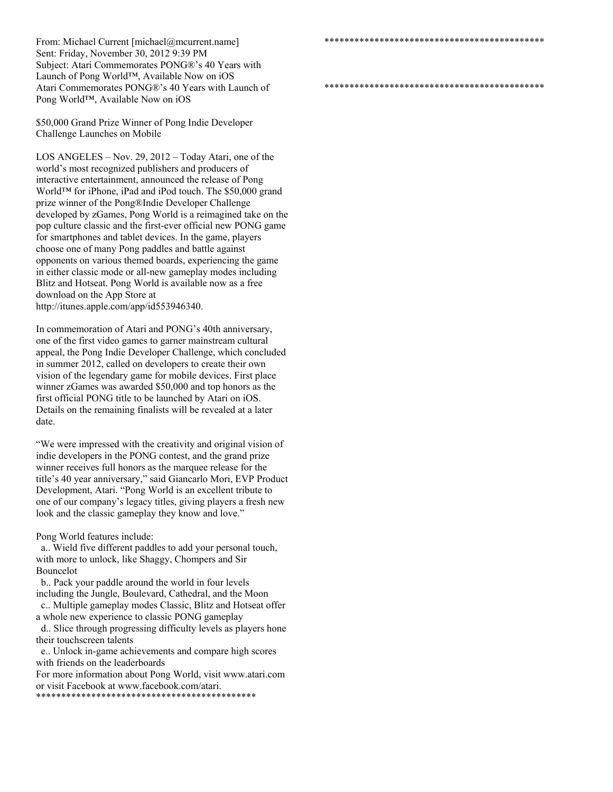From: Michael Current [michael@mcurrent.name] Sent: Friday, November 30, 2012 9:39 PM Subject: Atari Commemorates PONG®'s 40 Years with Launch of Pong World™, Available Now on iOS Atari Commemorates PONG®'s 40 Years with Launch of Pong World™, Available Now on iOS

\*\*\*\*\*\*\*\*\*\*\*\*\*\*\*\*\*\*\*\*\*\*\*\*\*\*\*\*\*\*\*\*\*\*\*\*\*\*\*\*\*\*\*\*

\*\*\*\*\*\*\*\*\*\*\*\*\*\*\*\*\*\*\*\*\*\*\*\*\*\*\*\*\*\*\*\*\*\*\*\*\*\*\*\*\*\*\*\*

\$50,000 Grand Prize Winner of Pong Indie Developer Challenge Launches on Mobile

LOS ANGELES – Nov. 29, 2012 – Today Atari, one of the world's most recognized publishers and producers of interactive entertainment, announced the release of Pong World™ for iPhone, iPad and iPod touch. The \$50,000 grand prize winner of the Pong®Indie Developer Challenge developed by zGames, Pong World is a reimagined take on the pop culture classic and the first-ever official new PONG game for smartphones and tablet devices. In the game, players choose one of many Pong paddles and battle against opponents on various themed boards, experiencing the game in either classic mode or all-new gameplay modes including Blitz and Hotseat. Pong World is available now as a free download on the App Store at http://itunes.apple.com/app/id553946340.

In commemoration of Atari and PONG's 40th anniversary, one of the first video games to garner mainstream cultural appeal, the Pong Indie Developer Challenge, which concluded in summer 2012, called on developers to create their own vision of the legendary game for mobile devices. First place winner zGames was awarded \$50,000 and top honors as the first official PONG title to be launched by Atari on iOS. Details on the remaining finalists will be revealed at a later date.

"We were impressed with the creativity and original vision of indie developers in the PONG contest, and the grand prize winner receives full honors as the marquee release for the title's 40 year anniversary," said Giancarlo Mori, EVP Product Development, Atari. "Pong World is an excellent tribute to one of our company's legacy titles, giving players a fresh new look and the classic gameplay they know and love."

Pong World features include:

 a.. Wield five different paddles to add your personal touch, with more to unlock, like Shaggy, Chompers and Sir Bouncelot

 b.. Pack your paddle around the world in four levels including the Jungle, Boulevard, Cathedral, and the Moon

 c.. Multiple gameplay modes Classic, Blitz and Hotseat offer a whole new experience to classic PONG gameplay

 d.. Slice through progressing difficulty levels as players hone their touchscreen talents

 e.. Unlock in-game achievements and compare high scores with friends on the leaderboards

For more information about Pong World, visit www.atari.com or visit Facebook at www.facebook.com/atari.

\*\*\*\*\*\*\*\*\*\*\*\*\*\*\*\*\*\*\*\*\*\*\*\*\*\*\*\*\*\*\*\*\*\*\*\*\*\*\*\*\*\*\*\*